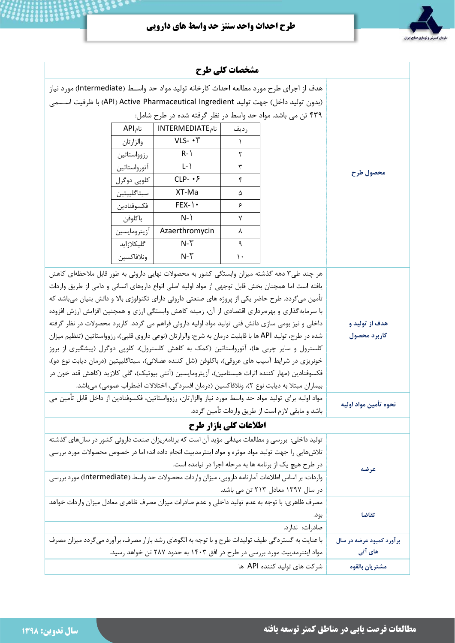طرح احداث واحد سنتز حد واسط هاي دارويي

 $\mathcal{S}$  ,  $\mathcal{S}$ 



| مشخصات کلی طرح                                                                                         |                                                                                                   |                                                                                                  |           |  |           |  |  |  |  |
|--------------------------------------------------------------------------------------------------------|---------------------------------------------------------------------------------------------------|--------------------------------------------------------------------------------------------------|-----------|--|-----------|--|--|--|--|
| هدف از اجرای طرح مورد مطالعه احداث کارخانه تولید مواد حد واســط (Intermediate) مورد نیاز               |                                                                                                   |                                                                                                  |           |  |           |  |  |  |  |
| (بدون توليد داخل) جهت توليد API) Active Pharmaceutical Ingredient) با ظرفيت اســـمى                    |                                                                                                   |                                                                                                  |           |  |           |  |  |  |  |
|                                                                                                        |                                                                                                   |                                                                                                  |           |  |           |  |  |  |  |
|                                                                                                        |                                                                                                   |                                                                                                  |           |  |           |  |  |  |  |
|                                                                                                        | والزارتان                                                                                         | VLS- . T                                                                                         | $\lambda$ |  | محصول طرح |  |  |  |  |
|                                                                                                        | رزوواستاتين                                                                                       | $R-$                                                                                             | ٢         |  |           |  |  |  |  |
|                                                                                                        | أتورواستاتين                                                                                      | $L - 1$                                                                                          | ٣         |  |           |  |  |  |  |
|                                                                                                        | كلوپى دوگرل                                                                                       | $CLP - \cdot \xi$                                                                                | ۴         |  |           |  |  |  |  |
|                                                                                                        | سيتاگليپتين                                                                                       | XT-Ma                                                                                            | ۵         |  |           |  |  |  |  |
|                                                                                                        | فكسوفنادين                                                                                        | $FEX-$                                                                                           | ۶         |  |           |  |  |  |  |
|                                                                                                        | باكلوفن                                                                                           | $N-$                                                                                             | ٧         |  |           |  |  |  |  |
|                                                                                                        | أزيترومايسين                                                                                      | Azaerthromycin                                                                                   | ٨         |  |           |  |  |  |  |
|                                                                                                        | گلیکلازاید                                                                                        | $N-T$                                                                                            | ٩         |  |           |  |  |  |  |
|                                                                                                        | ونلافاكسين                                                                                        | $N-T$                                                                                            | ١.        |  |           |  |  |  |  |
| هر چند طی۳ دهه گذشته میزان وابستگی کشور به محصولات نهایی داروئی به طور قابل ملاحظهای کاهش              |                                                                                                   |                                                                                                  |           |  |           |  |  |  |  |
|                                                                                                        | یافته است اما همچنان بخش قابل توجهی از مواد اولیه اصلی انواع داروهای انسانی و دامی از طریق واردات |                                                                                                  |           |  |           |  |  |  |  |
|                                                                                                        | تأمین میگردد. طرح حاضر یکی از پروژه های صنعتی داروئی دارای تکنولوژی بالا و دانش بنیان میباشد که   |                                                                                                  |           |  |           |  |  |  |  |
| با سرمایهگذاری و بهرهبرداری اقتصادی از آن، زمینه کاهش وابستگی ارزی و همچنین افزایش ارزش افزوده         |                                                                                                   |                                                                                                  |           |  |           |  |  |  |  |
| داخلی و نیز بومی سازی دانش فنی تولید مواد اولیه داروئی فراهم می گردد. کاربرد محصولات در نظر گرفته      | هدف از تولید و                                                                                    |                                                                                                  |           |  |           |  |  |  |  |
| شده در طرح، تولید API ها با قابلیت درمان به شرح: والزارتان (نوعی داروی قلبی)، رزوواستاتین (تنظیم میزان | كاربرد محصول                                                                                      |                                                                                                  |           |  |           |  |  |  |  |
| کلسترول و سایر چربی ها)، آتورواستاتین (کمک به کاهش کلسترول)، کلوپی دوگرل (پیشگیری از بروز              |                                                                                                   |                                                                                                  |           |  |           |  |  |  |  |
| خونریزی در شرایط آسیب های عروقی)، باکلوفن (شل کننده عضلانی)، سیتاگلیپتین (درمان دیابت نوع دو)،         |                                                                                                   |                                                                                                  |           |  |           |  |  |  |  |
| فكسوفنادين (مهار كننده اثرات هيستامين)، آزيترومايسين (آنتي بيوتيک)، گلي كلازيد (كاهش قند خون در        |                                                                                                   |                                                                                                  |           |  |           |  |  |  |  |
| بیماران مبتلا به دیابت نوع ۲)، ونلافاکسین (درمان افسردگی، اختلالات اضطراب عمومی) میباشد.               |                                                                                                   |                                                                                                  |           |  |           |  |  |  |  |
| مواد اولیه برای تولید مواد حد واسط مورد نیاز والزارتان، رزوواستاتین، فکسوفنادین از داخل قابل تأمین می  | نحوه تأمين مواد اوليه                                                                             |                                                                                                  |           |  |           |  |  |  |  |
|                                                                                                        | باشد و مابقی لازم است از طریق واردات تأمین گردد.                                                  |                                                                                                  |           |  |           |  |  |  |  |
| اطلاعات کلی بازار طرح                                                                                  |                                                                                                   |                                                                                                  |           |  |           |  |  |  |  |
|                                                                                                        |                                                                                                   | تولید داخلی: بررسی و مطالعات میدانی مؤید آن است که برنامهریزان صنعت داروئی کشور در سال های گذشته |           |  |           |  |  |  |  |
|                                                                                                        | تلاشهایی را جهت تولید مواد موثره و مواد اینترمدییت انجام داده اند؛ اما در خصوص محصولات مورد بررسی |                                                                                                  |           |  |           |  |  |  |  |
|                                                                                                        | در طرح هیچ یک از برنامه ها به مرحله اجرا در نیامده است.                                           | عرضه                                                                                             |           |  |           |  |  |  |  |
| واردات: بر اساس اطلاعات آمارنامه دارویی، میزان واردات محصولات حد واسط (Intermediate) مورد بررسی        |                                                                                                   |                                                                                                  |           |  |           |  |  |  |  |
|                                                                                                        | در سال ۱۳۹۷ معادل ۲۱۳ تن می باشد.                                                                 |                                                                                                  |           |  |           |  |  |  |  |
| مصرف ظاهري: با توجه به عدم توليد داخلي و عدم صادرات ميزان مصرف ظاهري معادل ميزان واردات خواهد          |                                                                                                   |                                                                                                  |           |  |           |  |  |  |  |
|                                                                                                        | بود.                                                                                              | تقاضا                                                                                            |           |  |           |  |  |  |  |
|                                                                                                        |                                                                                                   |                                                                                                  |           |  |           |  |  |  |  |
|                                                                                                        | با عنایت به گستردگی طیف تولیدات طرح و با توجه به الگوهای رشد بازار مصرف، برآورد میگردد میزان مصرف | برآورد کمبود عرضه در سال                                                                         |           |  |           |  |  |  |  |
| مواد اینترمدییت مورد بررسی در طرح در افق ۱۴۰۳ به حدود ۲۸۷ تن خواهد رسید.                               | های آتی                                                                                           |                                                                                                  |           |  |           |  |  |  |  |
|                                                                                                        | مشتريان بالقوه                                                                                    |                                                                                                  |           |  |           |  |  |  |  |